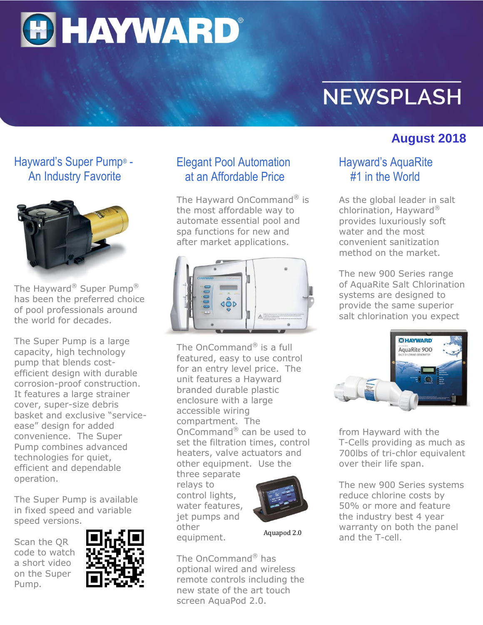**HAYWARD®** 

# **NEWSPLASH**

### **August 2018**

#### Hayward's Super Pump® - An Industry Favorite



The Hayward® Super Pump® has been the preferred choice of pool professionals around the world for decades.

The Super Pump is a large capacity, high technology pump that blends costefficient design with durable corrosion-proof construction. It features a large strainer cover, super-size debris basket and exclusive "serviceease" design for added convenience. The Super Pump combines advanced technologies for quiet, efficient and dependable operation.

The Super Pump is available in fixed speed and variable speed versions.

Scan the QR code to watch a short video on the Super Pump.



#### Elegant Pool Automation at an Affordable Price

The Hayward OnCommand<sup>®</sup> is the most affordable way to automate essential pool and spa functions for new and after market applications.



The OnCommand<sup>®</sup> is a full featured, easy to use control for an entry level price. The unit features a Hayward branded durable plastic enclosure with a large accessible wiring compartment. The OnCommand® can be used to set the filtration times, control heaters, valve actuators and other equipment. Use the

three separate relays to control lights, water features, jet pumps and other equipment.



Aquapod 2.0

The OnCommand® has optional wired and wireless remote controls including the new state of the art touch screen AquaPod 2.0.

#### Hayward's AquaRite #1 in the World

As the global leader in salt chlorination, Hayward® provides luxuriously soft water and the most convenient sanitization method on the market.

The new 900 Series range of AquaRite Salt Chlorination systems are designed to provide the same superior salt chlorination you expect



from Hayward with the T-Cells providing as much as 700lbs of tri-chlor equivalent over their life span.

The new 900 Series systems reduce chlorine costs by 50% or more and feature the industry best 4 year warranty on both the panel and the T-cell.